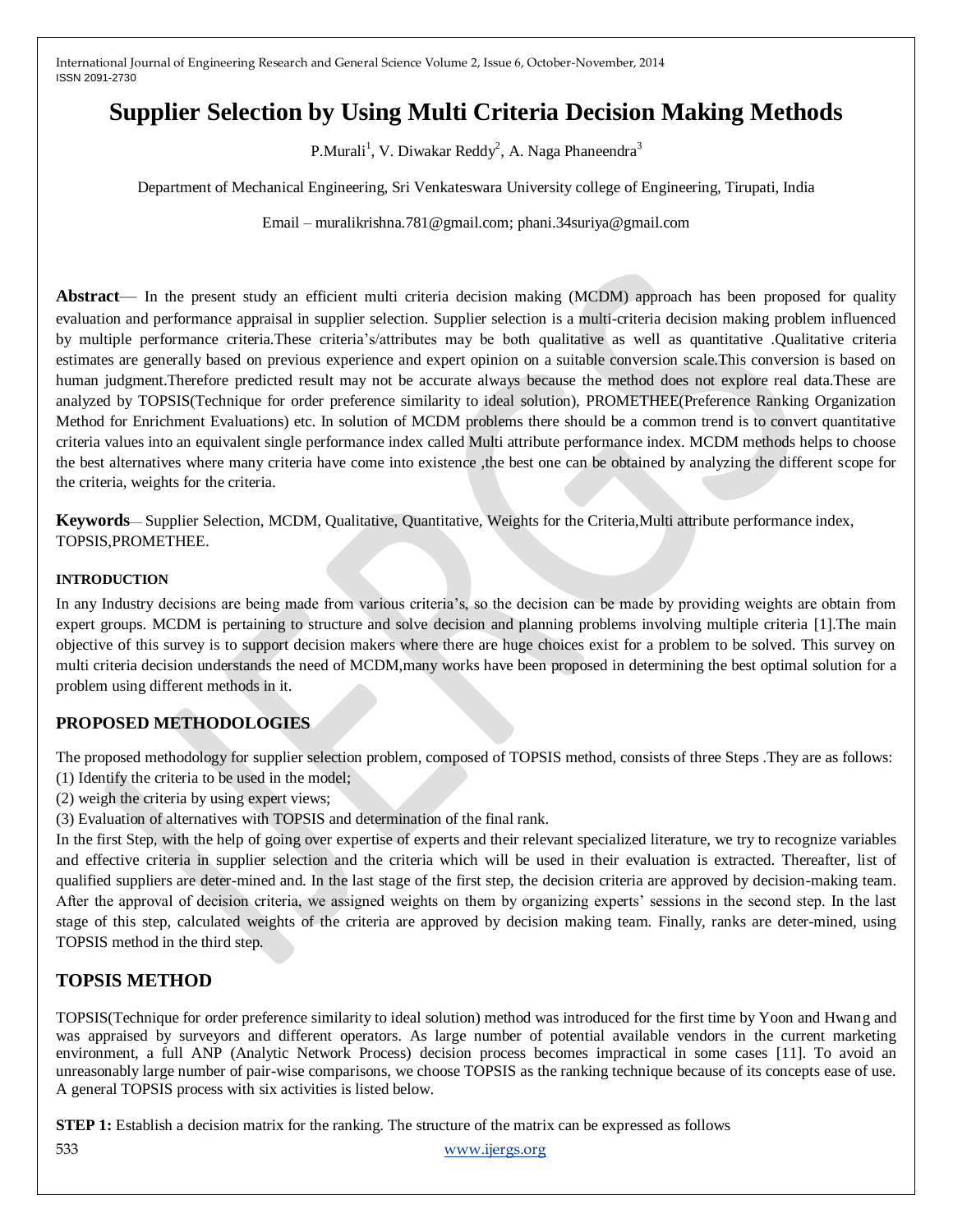# **Supplier Selection by Using Multi Criteria Decision Making Methods**

P.Murali<sup>1</sup>, V. Diwakar Reddy<sup>2</sup>, A. Naga Phaneendra<sup>3</sup>

Department of Mechanical Engineering, Sri Venkateswara University college of Engineering, Tirupati, India

Email – muralikrishna.781@gmail.com; phani.34suriya@gmail.com

**Abstract**— In the present study an efficient multi criteria decision making (MCDM) approach has been proposed for quality evaluation and performance appraisal in supplier selection. Supplier selection is a multi-criteria decision making problem influenced by multiple performance criteria.These criteria's/attributes may be both qualitative as well as quantitative .Qualitative criteria estimates are generally based on previous experience and expert opinion on a suitable conversion scale.This conversion is based on human judgment. Therefore predicted result may not be accurate always because the method does not explore real data. These are analyzed by TOPSIS(Technique for order preference similarity to ideal solution), PROMETHEE(Preference Ranking Organization Method for Enrichment Evaluations) etc. In solution of MCDM problems there should be a common trend is to convert quantitative criteria values into an equivalent single performance index called Multi attribute performance index. MCDM methods helps to choose the best alternatives where many criteria have come into existence ,the best one can be obtained by analyzing the different scope for the criteria, weights for the criteria.

**Keywords**— Supplier Selection, MCDM, Qualitative, Quantitative, Weights for the Criteria,Multi attribute performance index, TOPSIS,PROMETHEE.

### **INTRODUCTION**

In any Industry decisions are being made from various criteria's, so the decision can be made by providing weights are obtain from expert groups. MCDM is pertaining to structure and solve decision and planning problems involving multiple criteria [1].The main objective of this survey is to support decision makers where there are huge choices exist for a problem to be solved. This survey on multi criteria decision understands the need of MCDM,many works have been proposed in determining the best optimal solution for a problem using different methods in it.

# **PROPOSED METHODOLOGIES**

The proposed methodology for supplier selection problem, composed of TOPSIS method, consists of three Steps .They are as follows: (1) Identify the criteria to be used in the model;

- (2) weigh the criteria by using expert views;
- (3) Evaluation of alternatives with TOPSIS and determination of the final rank.

In the first Step, with the help of going over expertise of experts and their relevant specialized literature, we try to recognize variables and effective criteria in supplier selection and the criteria which will be used in their evaluation is extracted. Thereafter, list of qualified suppliers are deter-mined and. In the last stage of the first step, the decision criteria are approved by decision-making team. After the approval of decision criteria, we assigned weights on them by organizing experts' sessions in the second step. In the last stage of this step, calculated weights of the criteria are approved by decision making team. Finally, ranks are deter-mined, using TOPSIS method in the third step.

# **TOPSIS METHOD**

TOPSIS(Technique for order preference similarity to ideal solution) method was introduced for the first time by Yoon and Hwang and was appraised by surveyors and different operators. As large number of potential available vendors in the current marketing environment, a full ANP (Analytic Network Process) decision process becomes impractical in some cases [11]. To avoid an unreasonably large number of pair-wise comparisons, we choose TOPSIS as the ranking technique because of its concepts ease of use. A general TOPSIS process with six activities is listed below.

**STEP 1:** Establish a decision matrix for the ranking. The structure of the matrix can be expressed as follows

533 www.ijergs.org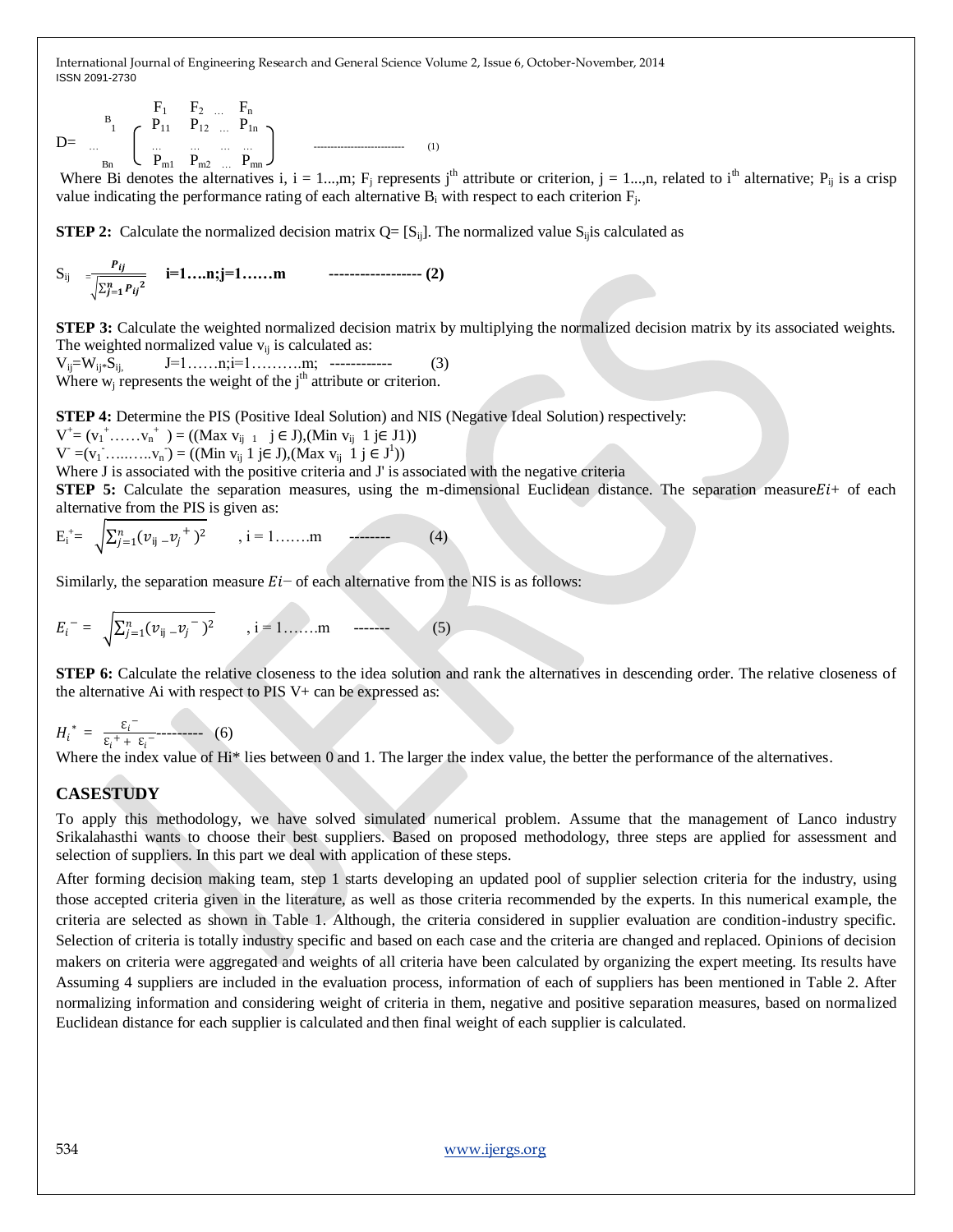$$
D = \begin{array}{c} B_1 & F_1 & F_2 & \dots & F_n \\ \vdots & \vdots & \vdots & \vdots \\ B_m & \begin{array}{ccc} \dots & \dots & \dots & \dots \\ \dots & \dots & \dots & \dots & \dots \\ P_{m1} & P_{m2} & \dots & P_{mn} \end{array} \end{array}
$$
 (1)

Where Bi denotes the alternatives i, i = 1...,m; F<sub>i</sub> represents j<sup>th</sup> attribute or criterion, j = 1...,n, related to i<sup>th</sup> alternative; P<sub>ij</sub> is a crisp value indicating the performance rating of each alternative  $B_i$  with respect to each criterion  $F_j$ .

**STEP 2:** Calculate the normalized decision matrix  $Q = [S_{ii}]$ . The normalized value  $S_{ii}$  is calculated as

Sij = =  **i=1….n;j=1……m ------------------ (2)**

**STEP 3:** Calculate the weighted normalized decision matrix by multiplying the normalized decision matrix by its associated weights. The weighted normalized value  $v_{ij}$  is calculated as:

Vij=Wij\*Sij, J=1……n;i=1……….m; ------------ (3) Where  $w_i$  represents the weight of the  $i<sup>th</sup>$  attribute or criterion.

**STEP 4:** Determine the PIS (Positive Ideal Solution) and NIS (Negative Ideal Solution) respectively:

 $V^{\dagger} = (v_1^{\dagger}, \dots, v_n^{\dagger}) = ((Max \t v_{ij-1} \t j \in J), (Min \t v_{ij} \t 1 j \in J))$ 

 $V = (v_1 \cdot \ldots \cdot \cdot \cdot v_n \cdot) = ((Min v_{ij} \cdot 1 \cdot j \in J), (Max v_{ij} \cdot 1 \cdot j \in J^1))$ 

Where J is associated with the positive criteria and J' is associated with the negative criteria

**STEP 5:** Calculate the separation measures, using the m-dimensional Euclidean distance. The separation measure $E_i$ + of each alternative from the PIS is given as:

$$
E_{i}^{+} = \sqrt{\sum_{j=1}^{n} (\nu_{ij} - \nu_{j}^{+})^{2}} , i = 1, ..., m
$$
 (4)

Similarly, the separation measure  $E_i$  of each alternative from the NIS is as follows:

$$
E_i^- = \sqrt{\sum_{j=1}^n (\nu_{ij} - \nu_j^-)^2}, \quad i = 1, \dots, m \quad \text{---} \tag{5}
$$

**STEP 6:** Calculate the relative closeness to the idea solution and rank the alternatives in descending order. The relative closeness of the alternative Ai with respect to PIS V+ can be expressed as:

$$
H_i^* = \frac{\varepsilon_i^-}{\varepsilon_i^+ + \varepsilon_i^-}
$$
 (6)

**COLLEGE** 

Where the index value of Hi\* lies between 0 and 1. The larger the index value, the better the performance of the alternatives.

## **CASESTUDY**

To apply this methodology, we have solved simulated numerical problem. Assume that the management of Lanco industry Srikalahasthi wants to choose their best suppliers. Based on proposed methodology, three steps are applied for assessment and selection of suppliers. In this part we deal with application of these steps.

After forming decision making team, step 1 starts developing an updated pool of supplier selection criteria for the industry, using those accepted criteria given in the literature, as well as those criteria recommended by the experts. In this numerical example, the criteria are selected as shown in Table 1. Although, the criteria considered in supplier evaluation are condition-industry specific. Selection of criteria is totally industry specific and based on each case and the criteria are changed and replaced. Opinions of decision makers on criteria were aggregated and weights of all criteria have been calculated by organizing the expert meeting. Its results have Assuming 4 suppliers are included in the evaluation process, information of each of suppliers has been mentioned in Table 2. After normalizing information and considering weight of criteria in them, negative and positive separation measures, based on normalized Euclidean distance for each supplier is calculated and then final weight of each supplier is calculated.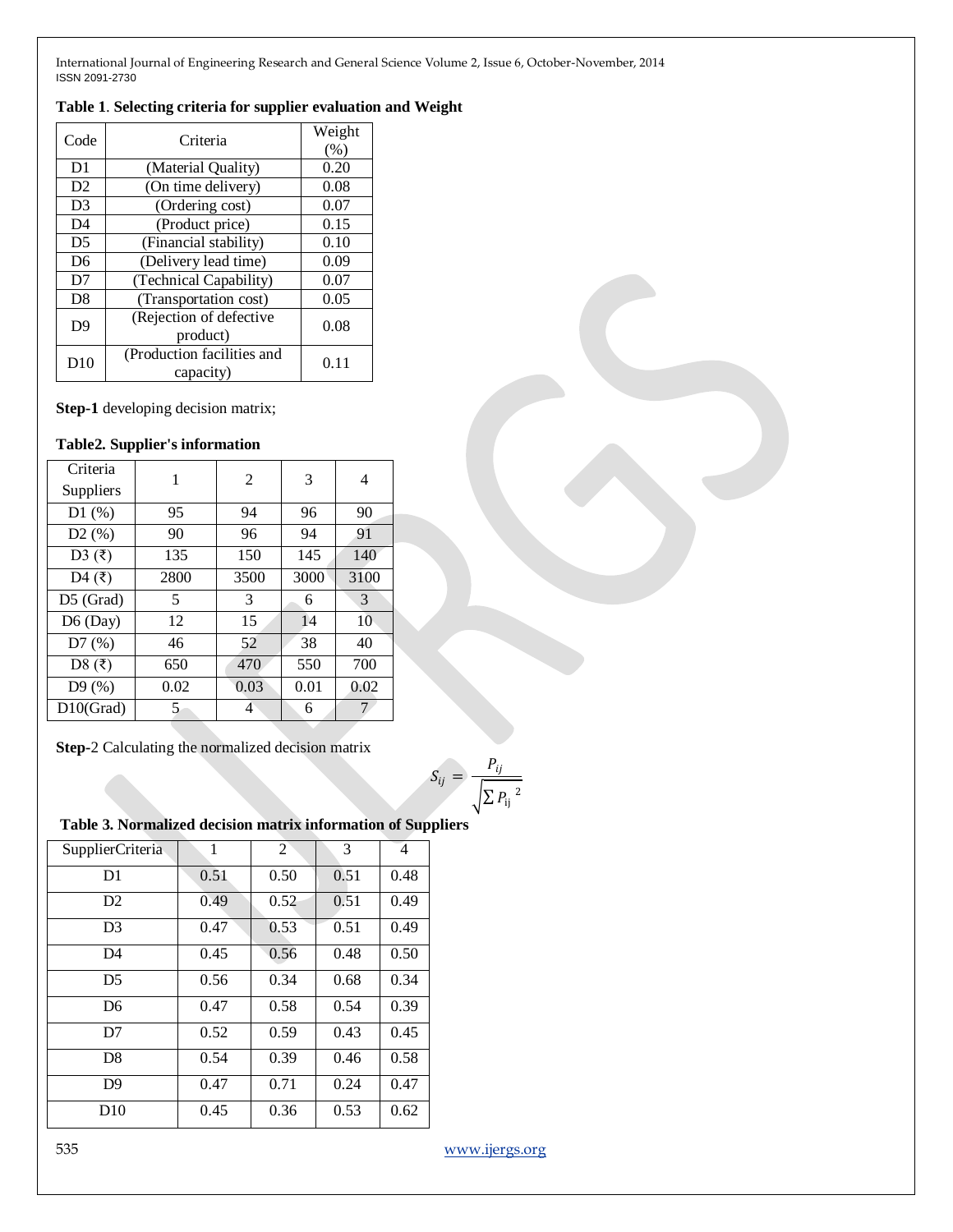## **Table 1**. **Selecting criteria for supplier evaluation and Weight**

| Code           | Criteria                                | Weight<br>(% ) |
|----------------|-----------------------------------------|----------------|
| D <sub>1</sub> | (Material Quality)                      | 0.20           |
| D2             | (On time delivery)                      | 0.08           |
| D <sub>3</sub> | (Ordering cost)                         | 0.07           |
| D <sub>4</sub> | (Product price)                         | 0.15           |
| D <sub>5</sub> | (Financial stability)                   | 0.10           |
| D <sub>6</sub> | (Delivery lead time)                    | 0.09           |
| D7             | (Technical Capability)                  | 0.07           |
| D8             | (Transportation cost)                   | 0.05           |
| D <sub>9</sub> | (Rejection of defective<br>product)     | 0.08           |
| D10            | (Production facilities and<br>capacity) | 0.11           |

**Step-1** developing decision matrix;

### **Table2. Supplier's information**

| Criteria                          | 1    | 2              | 3    | 4    |  |
|-----------------------------------|------|----------------|------|------|--|
| Suppliers                         |      |                |      |      |  |
| D1(%)                             | 95   | 94             | 96   | 90   |  |
| D2(%)                             | 90   | 96             | 94   | 91   |  |
| D3 $(\overline{\xi})$             | 135  | 150            | 145  | 140  |  |
| D <sub>4</sub> $(\overline{\xi})$ | 2800 | 3500           | 3000 | 3100 |  |
| $D5$ (Grad)                       | 5    | 3              | 6    | 3    |  |
| D6 (Day)                          | 12   | 15             | 14   | 10   |  |
| D7(%)                             | 46   | 52             | 38   | 40   |  |
| D8 $(3)$                          | 650  | 470            | 550  | 700  |  |
| D9(%)                             | 0.02 | 0.03           | 0.01 | 0.02 |  |
| $D10$ (Grad)                      | 5    | $\overline{4}$ | 6    | 7    |  |

**Step-**2 Calculating the normalized decision matrix

$$
S_{ij} = \frac{P_{ij}}{\sqrt{\sum P_{ij}^2}}
$$

## **Table 3. Normalized decision matrix information of Suppliers**

| SupplierCriteria | 1    | 2    | 3    | 4    |
|------------------|------|------|------|------|
| D <sub>1</sub>   | 0.51 | 0.50 | 0.51 | 0.48 |
| D2               | 0.49 | 0.52 | 0.51 | 0.49 |
| D <sub>3</sub>   | 0.47 | 0.53 | 0.51 | 0.49 |
| D <sub>4</sub>   | 0.45 | 0.56 | 0.48 | 0.50 |
| D <sub>5</sub>   | 0.56 | 0.34 | 0.68 | 0.34 |
| D <sub>6</sub>   | 0.47 | 0.58 | 0.54 | 0.39 |
| D7               | 0.52 | 0.59 | 0.43 | 0.45 |
| D <sub>8</sub>   | 0.54 | 0.39 | 0.46 | 0.58 |
| D <sup>9</sup>   | 0.47 | 0.71 | 0.24 | 0.47 |
| D10              | 0.45 | 0.36 | 0.53 | 0.62 |

535 www.ijergs.org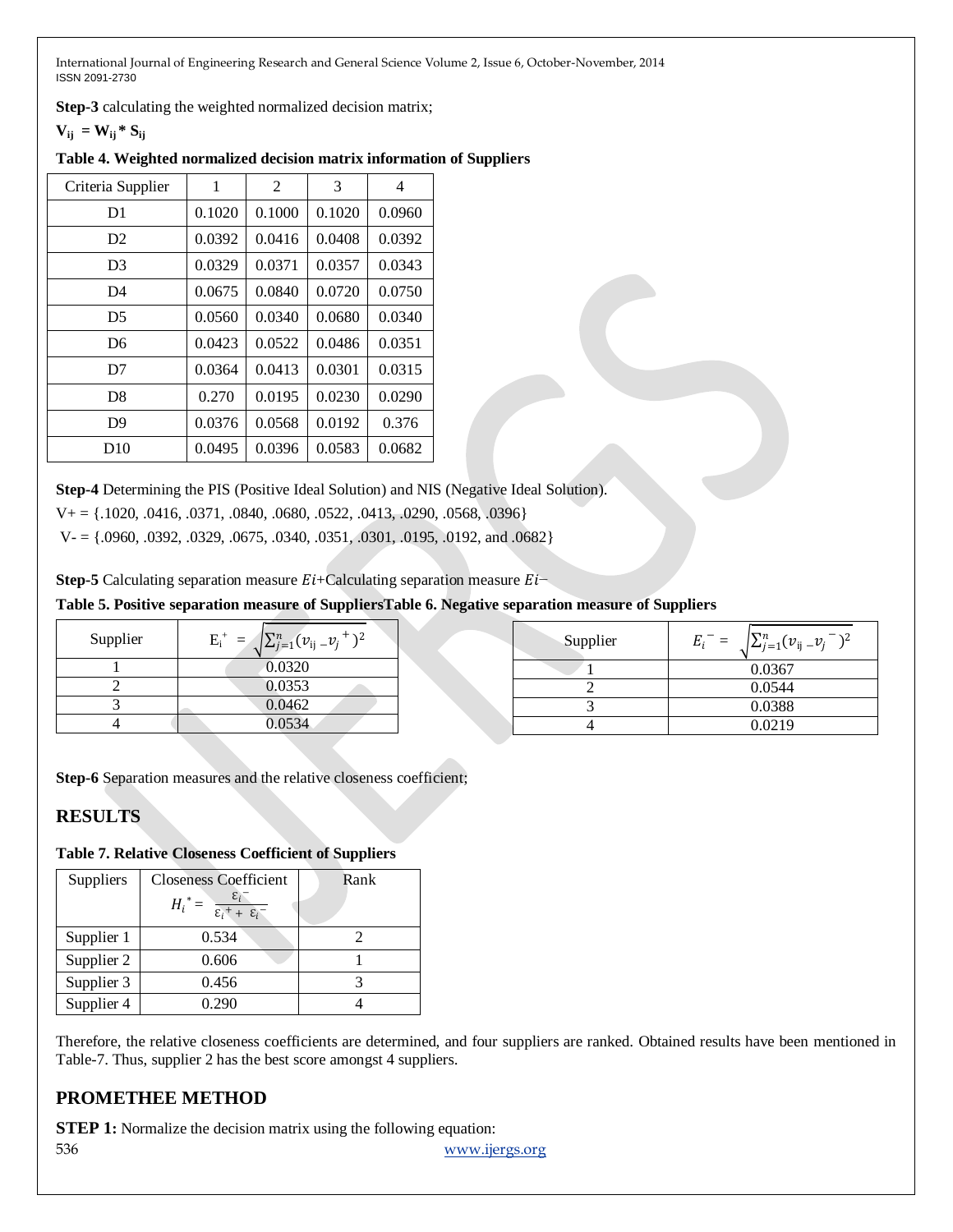**Step-3** calculating the weighted normalized decision matrix;

 $V_{ij} = W_{ij} * S_{ij}$ 

| Table 4. Weighted normalized decision matrix information of Suppliers |  |
|-----------------------------------------------------------------------|--|
|-----------------------------------------------------------------------|--|

| Criteria Supplier | 1      | $\overline{c}$ | 3      | 4      |
|-------------------|--------|----------------|--------|--------|
| D <sub>1</sub>    | 0.1020 | 0.1000         | 0.1020 | 0.0960 |
| D <sub>2</sub>    | 0.0392 | 0.0416         | 0.0408 | 0.0392 |
| D <sub>3</sub>    | 0.0329 | 0.0371         | 0.0357 | 0.0343 |
| D <sub>4</sub>    | 0.0675 | 0.0840         | 0.0720 | 0.0750 |
| D5                | 0.0560 | 0.0340         | 0.0680 | 0.0340 |
| D <sub>6</sub>    | 0.0423 | 0.0522         | 0.0486 | 0.0351 |
| D7                | 0.0364 | 0.0413         | 0.0301 | 0.0315 |
| D <sup>8</sup>    | 0.270  | 0.0195         | 0.0230 | 0.0290 |
| D <sub>9</sub>    | 0.0376 | 0.0568         | 0.0192 | 0.376  |
| D <sub>10</sub>   | 0.0495 | 0.0396         | 0.0583 | 0.0682 |

**Step-4** Determining the PIS (Positive Ideal Solution) and NIS (Negative Ideal Solution).

 $V_+ = \{.1020, .0416, .0371, .0840, .0680, .0522, .0413, .0290, .0568, .0396\}$ 

 $V = \{0.0960, 0.0392, 0.0329, 0.0675, 0.0340, 0.0351, 0.0301, 0.0195, 0.0192, \text{ and } 0.0682\}$ 

**Step-5** Calculating separation measure  $Ei$ +Calculating separation measure  $Ei$ 

## **Table 5. Positive separation measure of SuppliersTable 6. Negative separation measure of Suppliers**

| Supplier | $E_i^+ = \sqrt{\sum_{j=1}^n (\nu_{ij} - \nu_j)^2}$ | Supplier | $E_i^- = \sqrt{\sum_{j=1}^n (\nu_{ij} - \nu_j)^2}$ |
|----------|----------------------------------------------------|----------|----------------------------------------------------|
|          | 0.0320                                             |          | 0.0367                                             |
|          | 0.0353                                             |          | 0.0544                                             |
|          | 0.0462                                             |          | 0.0388                                             |
|          | 0.0534                                             |          | 0.0219                                             |

**Step-6** Separation measures and the relative closeness coefficient;

# **RESULTS**

## **Table 7. Relative Closeness Coefficient of Suppliers**

| Suppliers  | <b>Closeness Coefficient</b>                                      | Rank |
|------------|-------------------------------------------------------------------|------|
|            | $H_i^* = \frac{\varepsilon_i}{\varepsilon_i^+ + \varepsilon_i^-}$ |      |
| Supplier 1 | 0.534                                                             |      |
| Supplier 2 | 0.606                                                             |      |
| Supplier 3 | 0.456                                                             |      |
| Supplier 4 | 0.290                                                             |      |

Therefore, the relative closeness coefficients are determined, and four suppliers are ranked. Obtained results have been mentioned in Table-7. Thus, supplier 2 has the best score amongst 4 suppliers.

# **PROMETHEE METHOD**

536 www.ijergs.org **STEP 1:** Normalize the decision matrix using the following equation: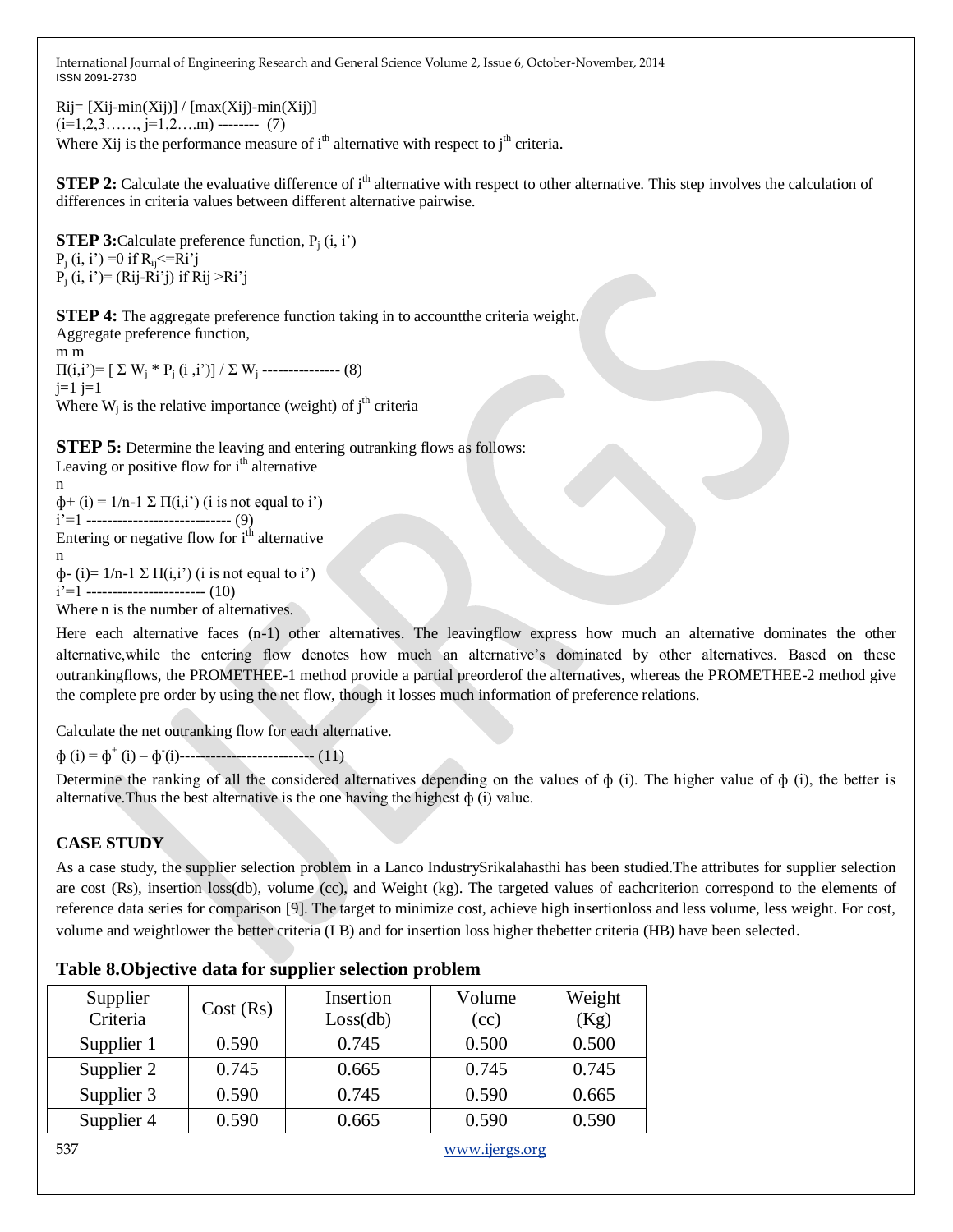$Rij = [Xij-min(Xij)] / [max(Xij)-min(Xij)]$  $(i=1,2,3, \ldots, j=1,2, \ldots, m)$  -------- (7) Where Xij is the performance measure of  $i<sup>th</sup>$  alternative with respect to  $i<sup>th</sup>$  criteria.

**STEP 2:** Calculate the evaluative difference of i<sup>th</sup> alternative with respect to other alternative. This step involves the calculation of differences in criteria values between different alternative pairwise.

**STEP 3:**Calculate preference function,  $P_i$  (i, i')  $P_i$  (i, i') =0 if  $R_{ii} \leq R$ i'j  $P_i$  (i, i')= (Rij-Ri'j) if Rij >Ri'j

**STEP 4:** The aggregate preference function taking in to account the criteria weight. Aggregate preference function, m m  $\Pi(i,i') = [\sum W_i * P_i (i,i')] / \sum W_i$  ---------------- (8)

 $j=1$   $j=1$ Where  $W_j$  is the relative importance (weight) of  $j<sup>th</sup>$  criteria

**STEP 5:** Determine the leaving and entering outranking flows as follows: Leaving or positive flow for  $i<sup>th</sup>$  alternative

 $\phi$ + (i) = 1/n-1  $\Sigma \Pi(i,i')$  (i is not equal to i') i'=1 ---------------------------- (9) Entering or negative flow for  $i<sup>th</sup>$  alternative n  $φ$ - (i)= 1/n-1 Σ Π(i,i') (i is not equal to i')  $i'=1$  ------------------------- (10) Where n is the number of alternatives.

Here each alternative faces (n-1) other alternatives. The leavingflow express how much an alternative dominates the other alternative,while the entering flow denotes how much an alternative's dominated by other alternatives. Based on these outrankingflows, the PROMETHEE-1 method provide a partial preorderof the alternatives, whereas the PROMETHEE-2 method give the complete pre order by using the net flow, though it losses much information of preference relations.

Calculate the net outranking flow for each alternative.

ф (i) = ф<sup>+</sup> (i) – ф - (i)-------------------------- (11)

Determine the ranking of all the considered alternatives depending on the values of ф (i). The higher value of ф (i), the better is alternative. Thus the best alternative is the one having the highest  $\phi$  (i) value.

## **CASE STUDY**

n

As a case study, the supplier selection problem in a Lanco IndustrySrikalahasthi has been studied.The attributes for supplier selection are cost (Rs), insertion loss(db), volume (cc), and Weight (kg). The targeted values of eachcriterion correspond to the elements of reference data series for comparison [9]. The target to minimize cost, achieve high insertionloss and less volume, less weight. For cost, volume and weightlower the better criteria (LB) and for insertion loss higher thebetter criteria (HB) have been selected.

| Supplier<br>Criteria | Cost(Rs) | Insertion<br>Loss(db) | Volume<br>(cc) | Weight<br>(Kg) |
|----------------------|----------|-----------------------|----------------|----------------|
| Supplier 1           | 0.590    | 0.745                 | 0.500          | 0.500          |
| Supplier 2           | 0.745    | 0.665                 | 0.745          | 0.745          |
| Supplier 3           | 0.590    | 0.745                 | 0.590          | 0.665          |
| Supplier 4           | 0.590    | 0.665                 | 0.590          | 0.590          |

## **Table 8.Objective data for supplier selection problem**

537 www.ijergs.org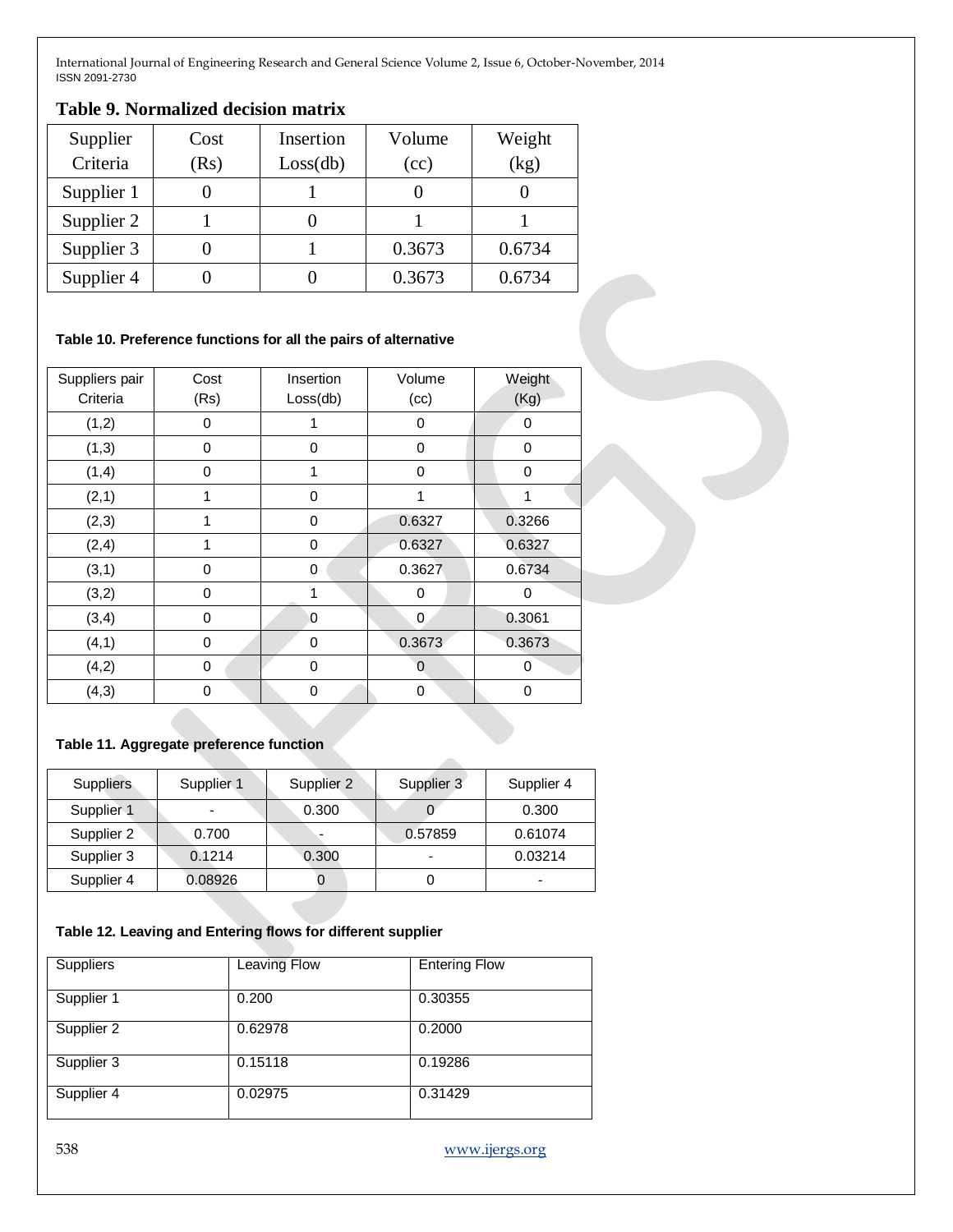## **Table 9. Normalized decision matrix**

| Supplier   | Cost | Insertion | Volume | Weight |
|------------|------|-----------|--------|--------|
| Criteria   | (Rs) | Loss(db)  | (cc)   | (kg)   |
| Supplier 1 |      |           |        |        |
| Supplier 2 |      |           |        |        |
| Supplier 3 |      |           | 0.3673 | 0.6734 |
| Supplier 4 |      |           | 0.3673 | 0.6734 |

### **Table 10. Preference functions for all the pairs of alternative**

| Suppliers pair<br>Criteria | Cost<br>(Rs)   | Insertion<br>Loss(db) | Volume<br>(cc) | Weight<br>(Kg) |
|----------------------------|----------------|-----------------------|----------------|----------------|
| (1,2)                      | $\Omega$       | 1                     | 0              | 0              |
| (1,3)                      | 0              | 0                     | 0              | 0              |
| (1,4)                      | 0              | 1                     | 0              | 0              |
| (2,1)                      | 1              | 0                     | 1              | 1              |
| (2,3)                      | 1              | 0                     | 0.6327         | 0.3266         |
| (2,4)                      | 1              | 0                     | 0.6327         | 0.6327         |
| (3,1)                      | $\overline{0}$ | 0                     | 0.3627         | 0.6734         |
| (3,2)                      | $\mathbf{0}$   | 1                     | 0              | 0              |
| (3,4)                      | $\mathbf 0$    | 0                     | 0              | 0.3061         |
| (4, 1)                     | 0              | 0                     | 0.3673         | 0.3673         |
| (4,2)                      | $\mathbf 0$    | $\mathbf 0$           | 0              | 0              |
| (4,3)                      | $\Omega$       | 0                     | 0              | 0              |

## **Table 11. Aggregate preference function**

| <b>Suppliers</b> | Supplier <sub>1</sub>    | Supplier 2 | Supplier 3               | Supplier 4 |
|------------------|--------------------------|------------|--------------------------|------------|
| Supplier 1       | $\overline{\phantom{0}}$ | 0.300      |                          | 0.300      |
| Supplier 2       | 0.700                    |            | 0.57859                  | 0.61074    |
| Supplier 3       | 0.1214                   | 0.300      | $\overline{\phantom{0}}$ | 0.03214    |
| Supplier 4       | 0.08926                  |            |                          | -          |

#### **Table 12. Leaving and Entering flows for different supplier**

| Suppliers  | <b>Leaving Flow</b> | <b>Entering Flow</b> |
|------------|---------------------|----------------------|
| Supplier 1 | 0.200               | 0.30355              |
| Supplier 2 | 0.62978             | 0.2000               |
| Supplier 3 | 0.15118             | 0.19286              |
| Supplier 4 | 0.02975             | 0.31429              |